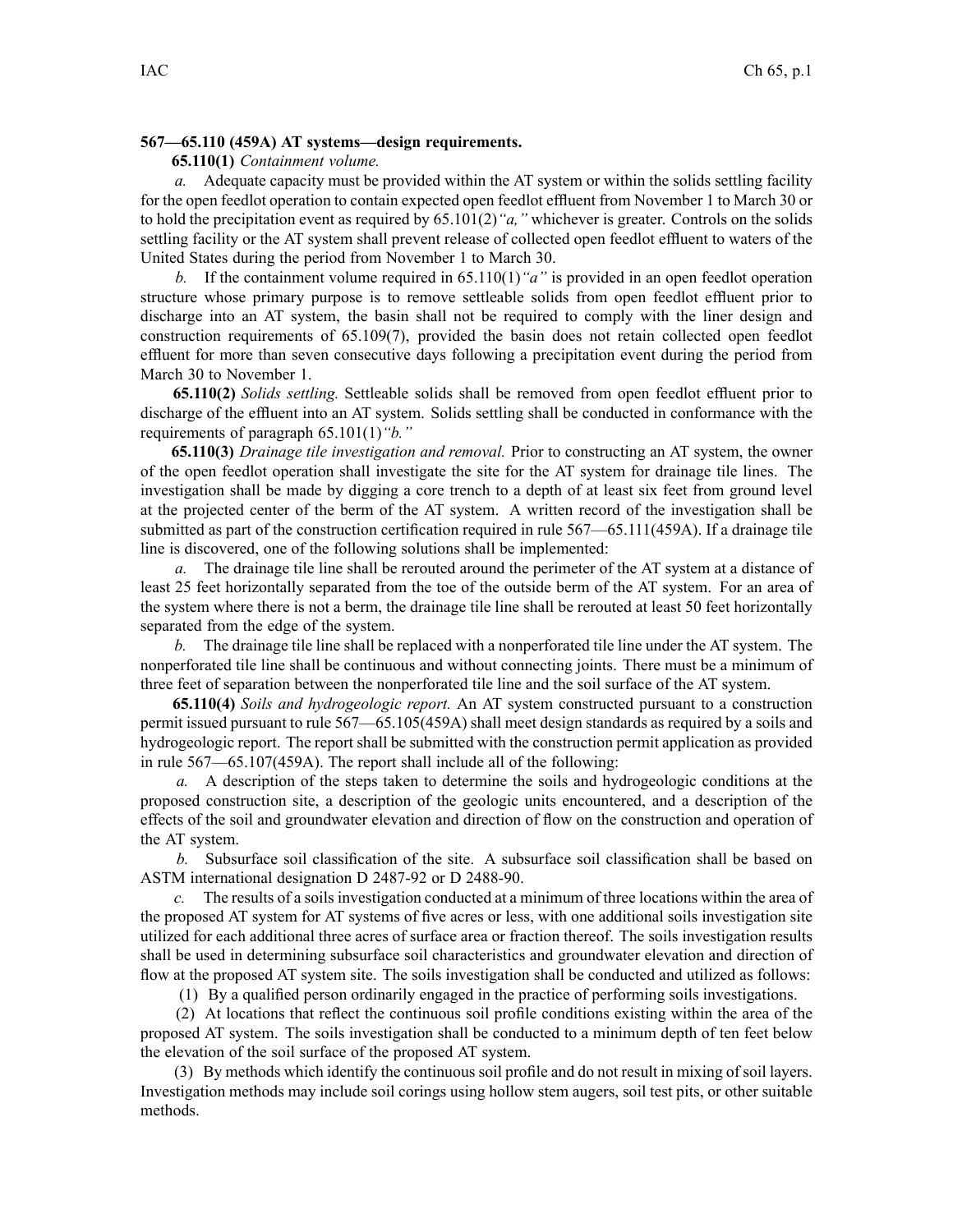#### **567—65.110 (459A) AT systems—design requirements.**

## **65.110(1)** *Containment volume.*

*a.* Adequate capacity must be provided within the AT system or within the solids settling facility for the open feedlot operation to contain expected open feedlot effluent from November 1 to March 30 or to hold the precipitation event as required by 65.101(2)*"a,"* whichever is greater. Controls on the solids settling facility or the AT system shall preven<sup>t</sup> release of collected open feedlot effluent to waters of the United States during the period from November 1 to March 30.

*b.* If the containment volume required in 65.110(1)*"a"* is provided in an open feedlot operation structure whose primary purpose is to remove settleable solids from open feedlot effluent prior to discharge into an AT system, the basin shall not be required to comply with the liner design and construction requirements of 65.109(7), provided the basin does not retain collected open feedlot effluent for more than seven consecutive days following <sup>a</sup> precipitation event during the period from March 30 to November 1.

**65.110(2)** *Solids settling.* Settleable solids shall be removed from open feedlot effluent prior to discharge of the effluent into an AT system. Solids settling shall be conducted in conformance with the requirements of paragraph 65.101(1)*"b."*

**65.110(3)** *Drainage tile investigation and removal.* Prior to constructing an AT system, the owner of the open feedlot operation shall investigate the site for the AT system for drainage tile lines. The investigation shall be made by digging <sup>a</sup> core trench to <sup>a</sup> depth of at least six feet from ground level at the projected center of the berm of the AT system. A written record of the investigation shall be submitted as par<sup>t</sup> of the construction certification required in rule 567—65.111(459A). If <sup>a</sup> drainage tile line is discovered, one of the following solutions shall be implemented:

*a.* The drainage tile line shall be rerouted around the perimeter of the AT system at <sup>a</sup> distance of least 25 feet horizontally separated from the toe of the outside berm of the AT system. For an area of the system where there is not <sup>a</sup> berm, the drainage tile line shall be rerouted at least 50 feet horizontally separated from the edge of the system.

*b.* The drainage tile line shall be replaced with <sup>a</sup> nonperforated tile line under the AT system. The nonperforated tile line shall be continuous and without connecting joints. There must be <sup>a</sup> minimum of three feet of separation between the nonperforated tile line and the soil surface of the AT system.

**65.110(4)** *Soils and hydrogeologic report.* An AT system constructed pursuan<sup>t</sup> to <sup>a</sup> construction permit issued pursuan<sup>t</sup> to rule 567—65.105(459A) shall meet design standards as required by <sup>a</sup> soils and hydrogeologic report. The repor<sup>t</sup> shall be submitted with the construction permit application as provided in rule 567—65.107(459A). The repor<sup>t</sup> shall include all of the following:

*a.* A description of the steps taken to determine the soils and hydrogeologic conditions at the proposed construction site, <sup>a</sup> description of the geologic units encountered, and <sup>a</sup> description of the effects of the soil and groundwater elevation and direction of flow on the construction and operation of the AT system.

*b.* Subsurface soil classification of the site. A subsurface soil classification shall be based on ASTM international designation D 2487-92 or D 2488-90.

*c.* The results of <sup>a</sup> soils investigation conducted at <sup>a</sup> minimum of three locations within the area of the proposed AT system for AT systems of five acres or less, with one additional soils investigation site utilized for each additional three acres of surface area or fraction thereof. The soils investigation results shall be used in determining subsurface soil characteristics and groundwater elevation and direction of flow at the proposed AT system site. The soils investigation shall be conducted and utilized as follows:

(1) By <sup>a</sup> qualified person ordinarily engaged in the practice of performing soils investigations.

(2) At locations that reflect the continuous soil profile conditions existing within the area of the proposed AT system. The soils investigation shall be conducted to <sup>a</sup> minimum depth of ten feet below the elevation of the soil surface of the proposed AT system.

(3) By methods which identify the continuous soil profile and do not result in mixing of soil layers. Investigation methods may include soil corings using hollow stem augers, soil test pits, or other suitable methods.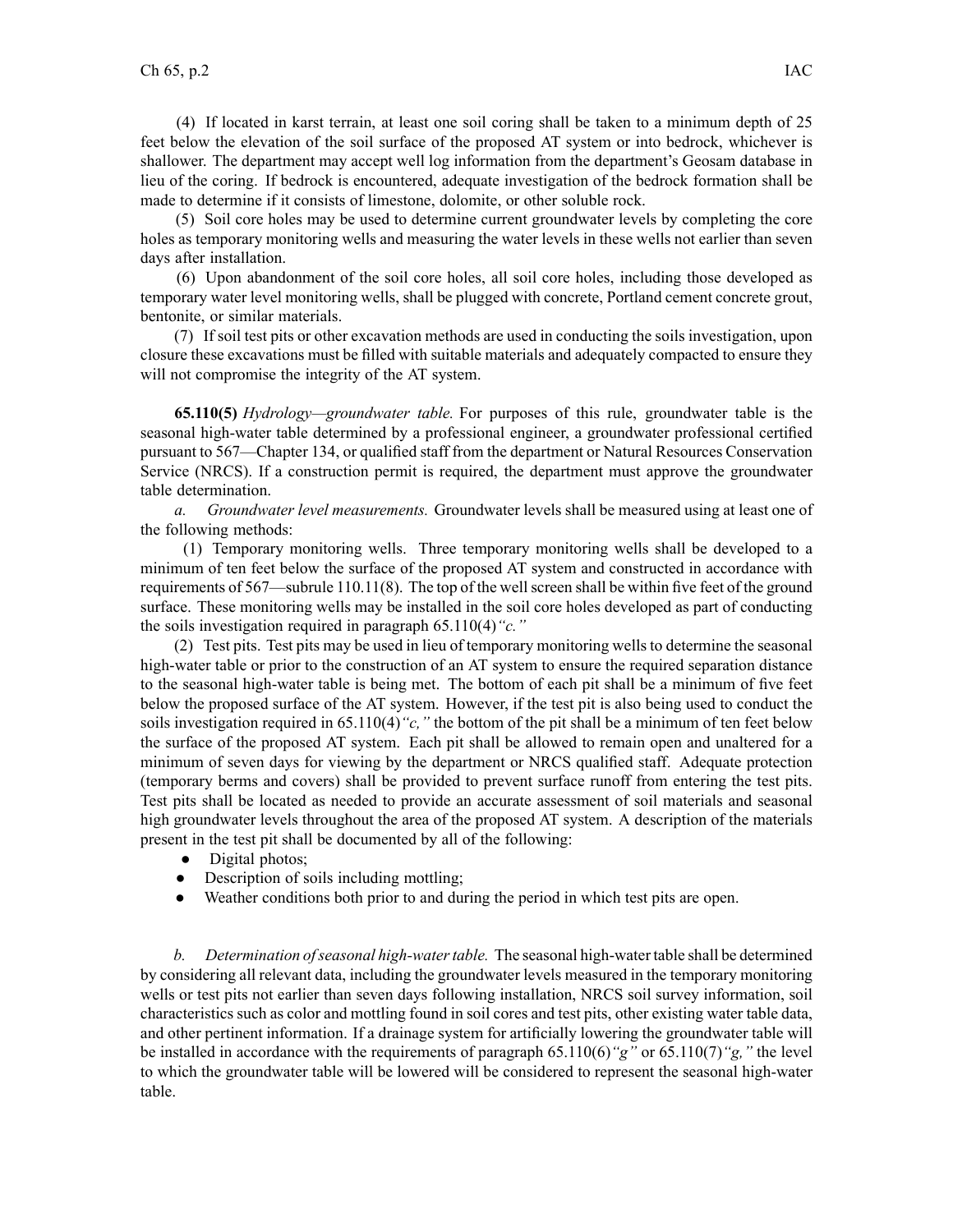(4) If located in karst terrain, at least one soil coring shall be taken to <sup>a</sup> minimum depth of 25 feet below the elevation of the soil surface of the proposed AT system or into bedrock, whichever is shallower. The department may accep<sup>t</sup> well log information from the department's Geosam database in lieu of the coring. If bedrock is encountered, adequate investigation of the bedrock formation shall be made to determine if it consists of limestone, dolomite, or other soluble rock.

(5) Soil core holes may be used to determine current groundwater levels by completing the core holes as temporary monitoring wells and measuring the water levels in these wells not earlier than seven days after installation.

(6) Upon abandonment of the soil core holes, all soil core holes, including those developed as temporary water level monitoring wells, shall be plugged with concrete, Portland cement concrete grout, bentonite, or similar materials.

(7) If soil test pits or other excavation methods are used in conducting the soils investigation, upon closure these excavations must be filled with suitable materials and adequately compacted to ensure they will not compromise the integrity of the AT system.

**65.110(5)** *Hydrology—groundwater table.* For purposes of this rule, groundwater table is the seasonal high-water table determined by <sup>a</sup> professional engineer, <sup>a</sup> groundwater professional certified pursuan<sup>t</sup> to 567—Chapter 134, or qualified staff from the department or Natural Resources Conservation Service (NRCS). If <sup>a</sup> construction permit is required, the department must approve the groundwater table determination.

*a. Groundwater level measurements.* Groundwater levels shall be measured using at least one of the following methods:

(1) Temporary monitoring wells. Three temporary monitoring wells shall be developed to <sup>a</sup> minimum of ten feet below the surface of the proposed AT system and constructed in accordance with requirements of 567—subrule 110.11(8). The top of the wellscreen shall be within five feet of the ground surface. These monitoring wells may be installed in the soil core holes developed as par<sup>t</sup> of conducting the soils investigation required in paragraph 65.110(4)*"c."*

(2) Test pits. Test pits may be used in lieu of temporary monitoring wells to determine the seasonal high-water table or prior to the construction of an AT system to ensure the required separation distance to the seasonal high-water table is being met. The bottom of each pit shall be <sup>a</sup> minimum of five feet below the proposed surface of the AT system. However, if the test pit is also being used to conduct the soils investigation required in 65.110(4)*"c,"* the bottom of the pit shall be <sup>a</sup> minimum of ten feet below the surface of the proposed AT system. Each pit shall be allowed to remain open and unaltered for <sup>a</sup> minimum of seven days for viewing by the department or NRCS qualified staff. Adequate protection (temporary berms and covers) shall be provided to preven<sup>t</sup> surface runoff from entering the test pits. Test pits shall be located as needed to provide an accurate assessment of soil materials and seasonal high groundwater levels throughout the area of the proposed AT system. A description of the materials presen<sup>t</sup> in the test pit shall be documented by all of the following:

- $\bullet$ Digital photos;
- $\bullet$ Description of soils including mottling;
- $\bullet$ Weather conditions both prior to and during the period in which test pits are open.

*b. Determination ofseasonal high-watertable.* The seasonal high-water table shall be determined by considering all relevant data, including the groundwater levels measured in the temporary monitoring wells or test pits not earlier than seven days following installation, NRCS soil survey information, soil characteristics such as color and mottling found in soil cores and test pits, other existing water table data, and other pertinent information. If <sup>a</sup> drainage system for artificially lowering the groundwater table will be installed in accordance with the requirements of paragraph 65.110(6)*"g"* or 65.110(7)*"g,"* the level to which the groundwater table will be lowered will be considered to represen<sup>t</sup> the seasonal high-water table.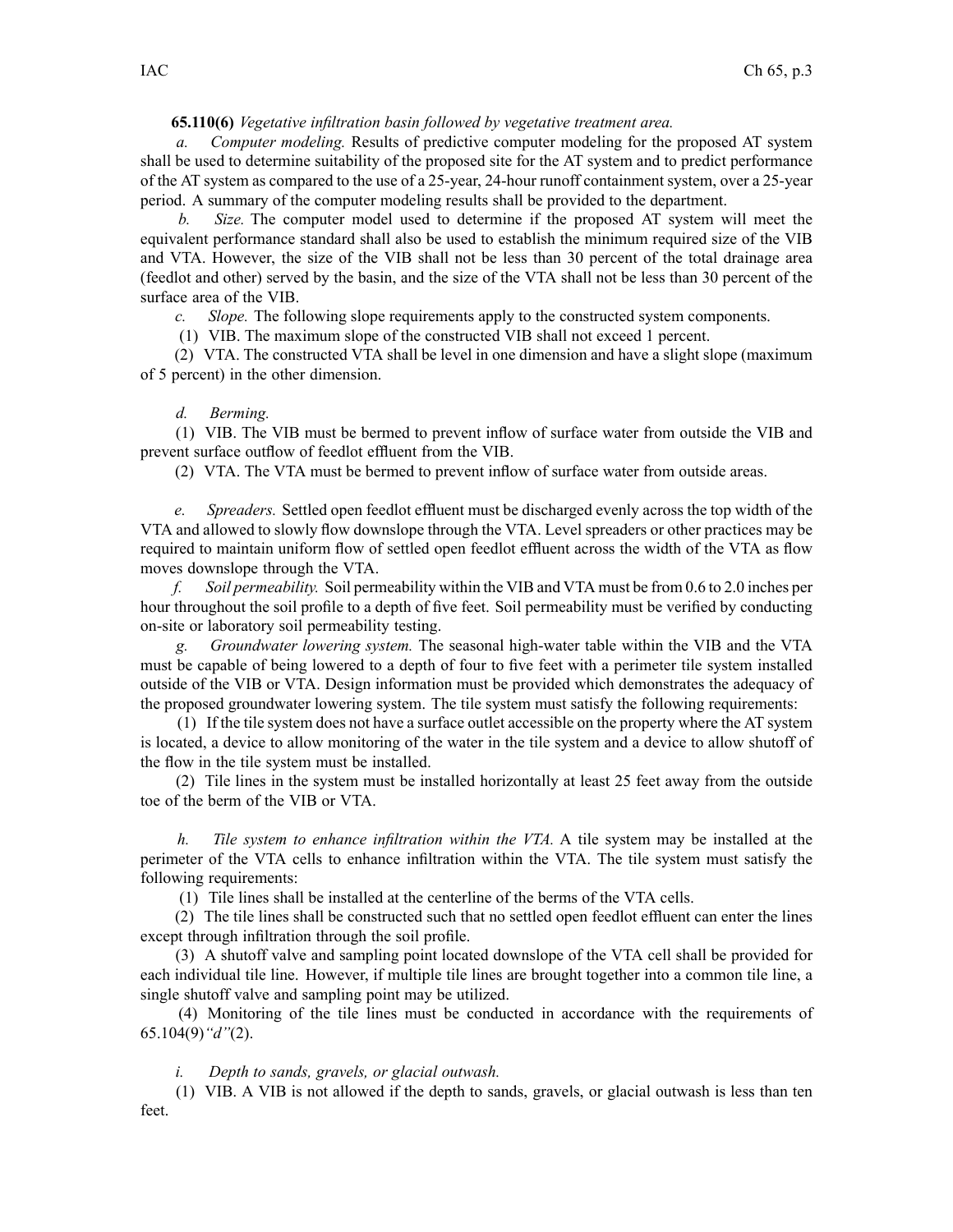# **65.110(6)** *Vegetative infiltration basin followed by vegetative treatment area.*

*a. Computer modeling.* Results of predictive computer modeling for the proposed AT system shall be used to determine suitability of the proposed site for the AT system and to predict performance of the AT system as compared to the use of <sup>a</sup> 25-year, 24-hour runoff containment system, over <sup>a</sup> 25-year period. A summary of the computer modeling results shall be provided to the department.

*b. Size.* The computer model used to determine if the proposed AT system will meet the equivalent performance standard shall also be used to establish the minimum required size of the VIB and VTA. However, the size of the VIB shall not be less than 30 percen<sup>t</sup> of the total drainage area (feedlot and other) served by the basin, and the size of the VTA shall not be less than 30 percen<sup>t</sup> of the surface area of the VIB.

*c. Slope.* The following slope requirements apply to the constructed system components.

(1) VIB. The maximum slope of the constructed VIB shall not exceed 1 percent.

(2) VTA. The constructed VTA shall be level in one dimension and have <sup>a</sup> slight slope (maximum of 5 percent) in the other dimension.

## *d. Berming.*

(1) VIB. The VIB must be bermed to preven<sup>t</sup> inflow of surface water from outside the VIB and preven<sup>t</sup> surface outflow of feedlot effluent from the VIB.

(2) VTA. The VTA must be bermed to preven<sup>t</sup> inflow of surface water from outside areas.

*e. Spreaders.* Settled open feedlot effluent must be discharged evenly across the top width of the VTA and allowed to slowly flow downslope through the VTA. Level spreaders or other practices may be required to maintain uniform flow of settled open feedlot effluent across the width of the VTA as flow moves downslope through the VTA.

*f. Soil permeability.* Soil permeability within the VIB and VTA must be from 0.6 to 2.0 inches per hour throughout the soil profile to <sup>a</sup> depth of five feet. Soil permeability must be verified by conducting on-site or laboratory soil permeability testing.

*g. Groundwater lowering system.* The seasonal high-water table within the VIB and the VTA must be capable of being lowered to <sup>a</sup> depth of four to five feet with <sup>a</sup> perimeter tile system installed outside of the VIB or VTA. Design information must be provided which demonstrates the adequacy of the proposed groundwater lowering system. The tile system must satisfy the following requirements:

(1) If the tile system does not have <sup>a</sup> surface outlet accessible on the property where the AT system is located, <sup>a</sup> device to allow monitoring of the water in the tile system and <sup>a</sup> device to allow shutoff of the flow in the tile system must be installed.

(2) Tile lines in the system must be installed horizontally at least 25 feet away from the outside toe of the berm of the VIB or VTA.

*h. Tile system to enhance infiltration within the VTA.* A tile system may be installed at the perimeter of the VTA cells to enhance infiltration within the VTA. The tile system must satisfy the following requirements:

(1) Tile lines shall be installed at the centerline of the berms of the VTA cells.

(2) The tile lines shall be constructed such that no settled open feedlot effluent can enter the lines excep<sup>t</sup> through infiltration through the soil profile.

(3) A shutoff valve and sampling point located downslope of the VTA cell shall be provided for each individual tile line. However, if multiple tile lines are brought together into <sup>a</sup> common tile line, <sup>a</sup> single shutoff valve and sampling point may be utilized.

(4) Monitoring of the tile lines must be conducted in accordance with the requirements of 65.104(9)*"d"*(2).

*i. Depth to sands, gravels, or glacial outwash.*

(1) VIB. A VIB is not allowed if the depth to sands, gravels, or glacial outwash is less than ten feet.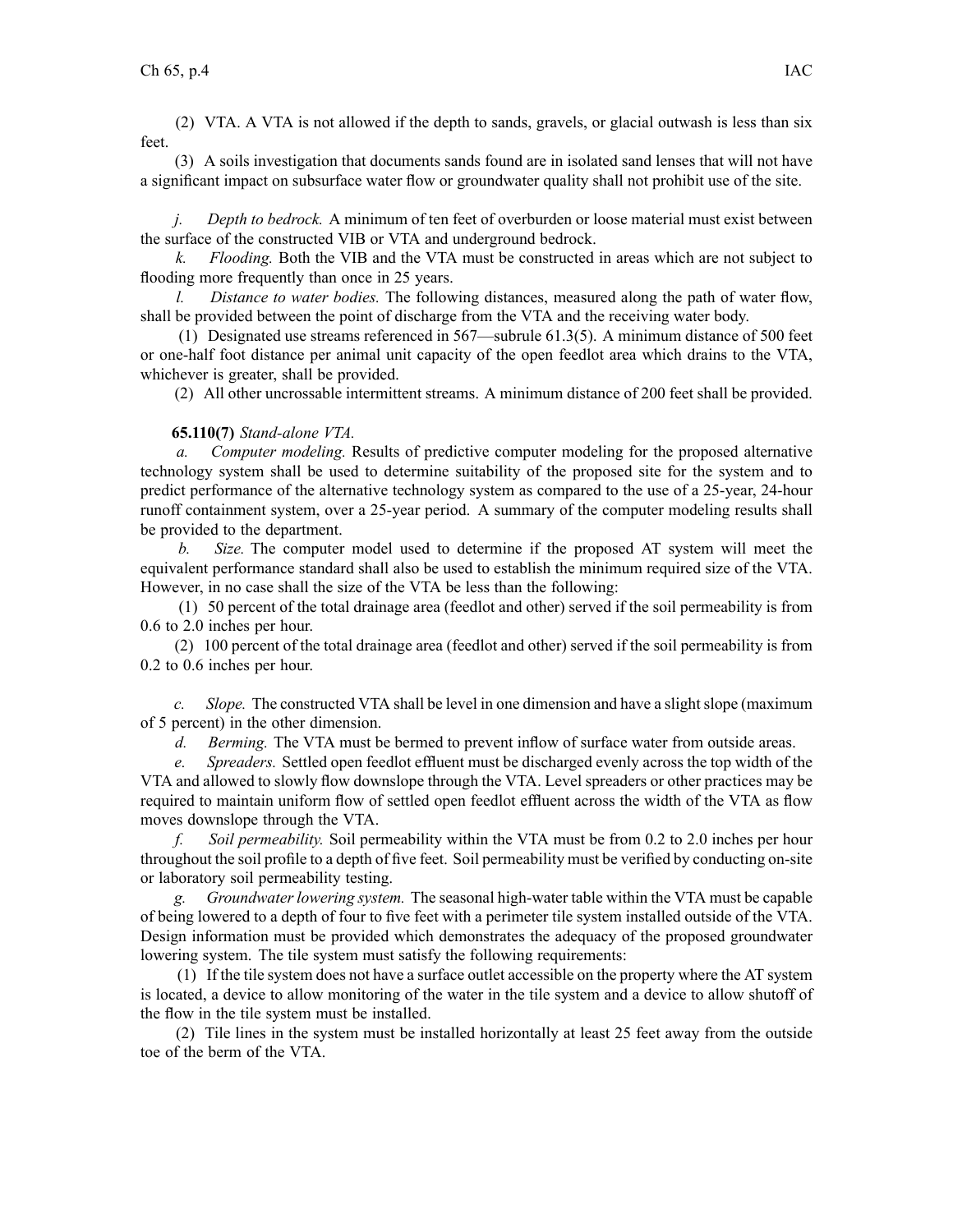(2) VTA. A VTA is not allowed if the depth to sands, gravels, or glacial outwash is less than six feet.

(3) A soils investigation that documents sands found are in isolated sand lenses that will not have <sup>a</sup> significant impact on subsurface water flow or groundwater quality shall not prohibit use of the site.

*j. Depth to bedrock.* A minimum of ten feet of overburden or loose material must exist between the surface of the constructed VIB or VTA and underground bedrock.

*k. Flooding.* Both the VIB and the VTA must be constructed in areas which are not subject to flooding more frequently than once in 25 years.

*l. Distance to water bodies.* The following distances, measured along the path of water flow, shall be provided between the point of discharge from the VTA and the receiving water body.

(1) Designated use streams referenced in 567—subrule 61.3(5). A minimum distance of 500 feet or one-half foot distance per animal unit capacity of the open feedlot area which drains to the VTA, whichever is greater, shall be provided.

(2) All other uncrossable intermittent streams. A minimum distance of 200 feet shall be provided.

## **65.110(7)** *Stand-alone VTA.*

*a. Computer modeling.* Results of predictive computer modeling for the proposed alternative technology system shall be used to determine suitability of the proposed site for the system and to predict performance of the alternative technology system as compared to the use of <sup>a</sup> 25-year, 24-hour runoff containment system, over <sup>a</sup> 25-year period. A summary of the computer modeling results shall be provided to the department.

*b. Size.* The computer model used to determine if the proposed AT system will meet the equivalent performance standard shall also be used to establish the minimum required size of the VTA. However, in no case shall the size of the VTA be less than the following:

(1) 50 percen<sup>t</sup> of the total drainage area (feedlot and other) served if the soil permeability is from 0.6 to 2.0 inches per hour.

(2) 100 percen<sup>t</sup> of the total drainage area (feedlot and other) served if the soil permeability is from 0.2 to 0.6 inches per hour.

*c. Slope.* The constructed VTA shall be level in one dimension and have <sup>a</sup> slightslope (maximum of 5 percent) in the other dimension.

*d. Berming.* The VTA must be bermed to preven<sup>t</sup> inflow of surface water from outside areas.

*e. Spreaders.* Settled open feedlot effluent must be discharged evenly across the top width of the VTA and allowed to slowly flow downslope through the VTA. Level spreaders or other practices may be required to maintain uniform flow of settled open feedlot effluent across the width of the VTA as flow moves downslope through the VTA.

*f. Soil permeability.* Soil permeability within the VTA must be from 0.2 to 2.0 inches per hour throughout the soil profile to <sup>a</sup> depth of five feet. Soil permeability must be verified by conducting on-site or laboratory soil permeability testing.

*g. Groundwater lowering system.* The seasonal high-water table within the VTA must be capable of being lowered to <sup>a</sup> depth of four to five feet with <sup>a</sup> perimeter tile system installed outside of the VTA. Design information must be provided which demonstrates the adequacy of the proposed groundwater lowering system. The tile system must satisfy the following requirements:

(1) If the tile system does not have <sup>a</sup> surface outlet accessible on the property where the AT system is located, <sup>a</sup> device to allow monitoring of the water in the tile system and <sup>a</sup> device to allow shutoff of the flow in the tile system must be installed.

(2) Tile lines in the system must be installed horizontally at least 25 feet away from the outside toe of the berm of the VTA.